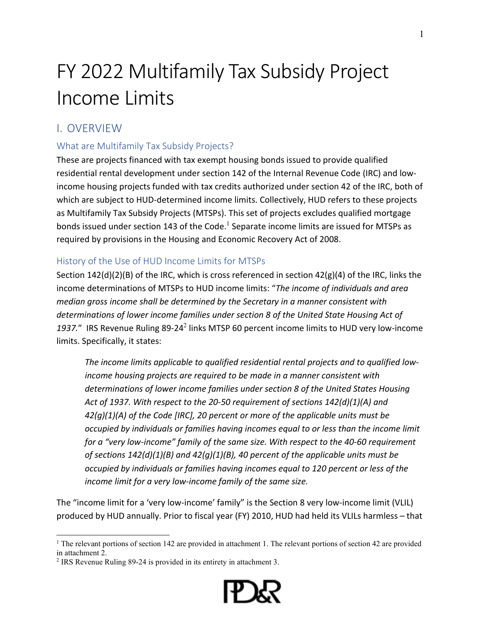# FY 2022 Multifamily Tax Subsidy Project Income Limits

# I. OVERVIEW

# What are Multifamily Tax Subsidy Projects?

These are projects financed with tax exempt housing bonds issued to provide qualified residential rental development under section 142 of the Internal Revenue Code (IRC) and lowincome housing projects funded with tax credits authorized under section 42 of the IRC, both of which are subject to HUD-determined income limits. Collectively, HUD refers to these projects as Multifamily Tax Subsidy Projects (MTSPs). This set of projects excludes qualified mortgage bondsissued under section 143 of the Code.<sup>1</sup> Separate income limits are issued for MTSPs as required by provisions in the Housing and Economic Recovery Act of 2008.

### History of the Use of HUD Income Limits for MTSPs

Section 142(d)(2)(B) of the IRC, which is cross referenced in section 42(g)(4) of the IRC, links the income determinations of MTSPs to HUD income limits: "*The income of individuals and area median gross income shall be determined by the Secretary in a manner consistent with determinations of lower income families under section 8 of the United State Housing Act of*  1937." IRS Revenue Ruling 89-2[4](#page-0-1)<sup>2</sup> links MTSP 60 percent income limits to HUD very low-income limits. Specifically, it states:

*The income limits applicable to qualified residential rental projects and to qualified lowincome housing projects are required to be made in a manner consistent with determinations of lower income families under section 8 of the United States Housing Act of 1937. With respect to the 20-50 requirement of sections 142(d)(1)(A) and 42(g)(1)(A) of the Code [IRC], 20 percent or more of the applicable units must be occupied by individuals or families having incomes equal to or less than the income limit for a "very low-income" family of the same size. With respect to the 40-60 requirement of sections 142(d)(1)(B) and 42(g)(1)(B), 40 percent of the applicable units must be occupied by individuals or families having incomes equal to 120 percent or less of the income limit for a very low-income family of the same size.*

The "income limit for a 'very low-income' family" is the Section 8 very low-income limit (VLIL) produced by HUD annually. Prior to fiscal year (FY) 2010, HUD had held its VLILs harmless – that



<span id="page-0-0"></span><sup>&</sup>lt;sup>1</sup> The relevant portions of section 142 are provided in attachment 1. The relevant portions of section 42 are provided in attachment 2.

<span id="page-0-1"></span><sup>&</sup>lt;sup>2</sup> IRS Revenue Ruling 89-24 is provided in its entirety in attachment 3.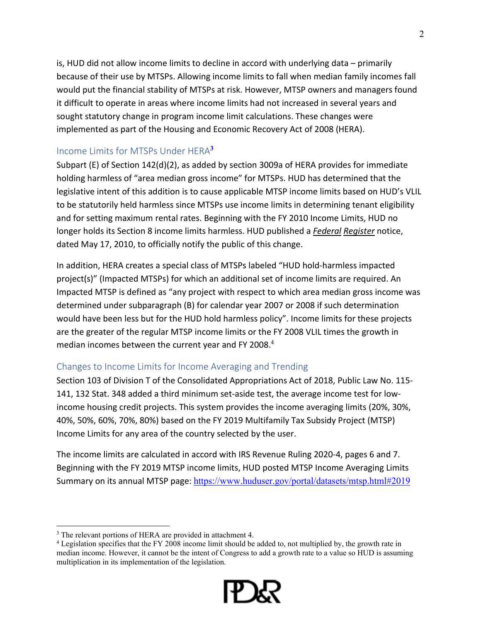is, HUD did not allow income limits to decline in accord with underlying data – primarily because of their use by MTSPs. Allowing income limits to fall when median family incomes fall would put the financial stability of MTSPs at risk. However, MTSP owners and managers found it difficult to operate in areas where income limits had not increased in several years and sought statutory change in program income limit calculations. These changes were implemented as part of the Housing and Economic Recovery Act of 2008 (HERA).

#### Income Limits for MTSPs Under HERA**[3](#page-1-0)**

Subpart (E) of Section 142(d)(2), as added by section 3009a of HERA provides for immediate holding harmless of "area median gross income" for MTSPs. HUD has determined that the legislative intent of this addition is to cause applicable MTSP income limits based on HUD's VLIL to be statutorily held harmless since MTSPs use income limits in determining tenant eligibility and for setting maximum rental rates. Beginning with the FY 2010 Income Limits, HUD no longer holds its Section 8 income limits harmless. HUD published a *Federal Register* notice, dated May 17, 2010, to officially notify the public of this change.

In addition, HERA creates a special class of MTSPs labeled "HUD hold-harmless impacted project(s)" (Impacted MTSPs) for which an additional set of income limits are required. An Impacted MTSP is defined as "any project with respect to which area median gross income was determined under subparagraph (B) for calendar year 2007 or 2008 if such determination would have been less but for the HUD hold harmless policy". Income limits for these projects are the greater of the regular MTSP income limits or the FY 2008 VLIL times the growth in median incomes between the current year and FY 2008.<sup>[4](#page-1-1)</sup>

#### Changes to Income Limits for Income Averaging and Trending

Section 103 of Division T of the Consolidated Appropriations Act of 2018, Public Law No. 115- 141, 132 Stat. 348 added a third minimum set-aside test, the average income test for lowincome housing credit projects. This system provides the income averaging limits (20%, 30%, 40%, 50%, 60%, 70%, 80%) based on the FY 2019 Multifamily Tax Subsidy Project (MTSP) Income Limits for any area of the country selected by the user.

The income limits are calculated in accord with IRS Revenue Ruling 2020-4, pages 6 and 7. Beginning with the FY 2019 MTSP income limits, HUD posted MTSP Income Averaging Limits Summary on its annual MTSP page: <https://www.huduser.gov/portal/datasets/mtsp.html#2019>

<span id="page-1-1"></span><sup>&</sup>lt;sup>4</sup> Legislation specifies that the FY 2008 income limit should be added to, not multiplied by, the growth rate in median income. However, it cannot be the intent of Congress to add a growth rate to a value so HUD is assuming multiplication in its implementation of the legislation.



<span id="page-1-0"></span><sup>&</sup>lt;sup>3</sup> The relevant portions of HERA are provided in attachment 4.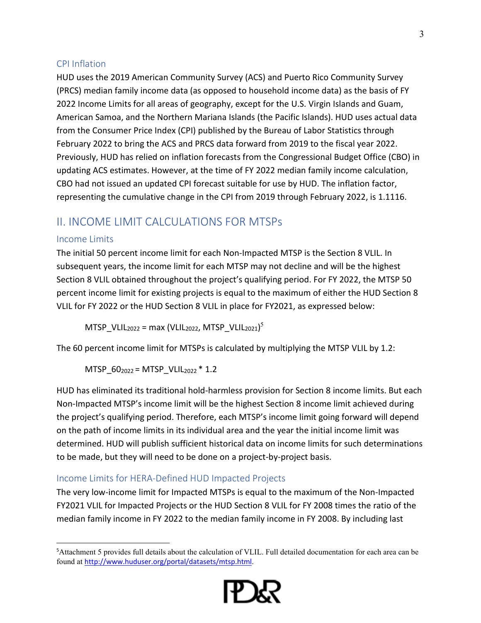#### CPI Inflation

HUD uses the 2019 American Community Survey (ACS) and Puerto Rico Community Survey (PRCS) median family income data (as opposed to household income data) as the basis of FY 2022 Income Limits for all areas of geography, except for the U.S. Virgin Islands and Guam, American Samoa, and the Northern Mariana Islands (the Pacific Islands). HUD uses actual data from the Consumer Price Index (CPI) published by the Bureau of Labor Statistics through February 2022 to bring the ACS and PRCS data forward from 2019 to the fiscal year 2022. Previously, HUD has relied on inflation forecasts from the Congressional Budget Office (CBO) in updating ACS estimates. However, at the time of FY 2022 median family income calculation, CBO had not issued an updated CPI forecast suitable for use by HUD. The inflation factor, representing the cumulative change in the CPI from 2019 through February 2022, is 1.1116.

# II. INCOME LIMIT CALCULATIONS FOR MTSPs

#### Income Limits

The initial 50 percent income limit for each Non-Impacted MTSP is the Section 8 VLIL. In subsequent years, the income limit for each MTSP may not decline and will be the highest Section 8 VLIL obtained throughout the project's qualifying period. For FY 2022, the MTSP 50 percent income limit for existing projects is equal to the maximum of either the HUD Section 8 VLIL for FY 2022 or the HUD Section 8 VLIL in place for FY2021, as expressed below:

 $MTSP\_VLL_{2022}$  = max (VLIL $_{2022}$ , MTSP $\_VLL_{2021})^5$  $\_VLL_{2021})^5$  $\_VLL_{2021})^5$ 

The 60 percent income limit for MTSPs is calculated by multiplying the MTSP VLIL by 1.2:

MTSP  $60_{2022} = MTSP$  VLIL<sub>2022</sub> \* 1.2

HUD has eliminated its traditional hold-harmless provision for Section 8 income limits. But each Non-Impacted MTSP's income limit will be the highest Section 8 income limit achieved during the project's qualifying period. Therefore, each MTSP's income limit going forward will depend on the path of income limits in its individual area and the year the initial income limit was determined. HUD will publish sufficient historical data on income limits for such determinations to be made, but they will need to be done on a project-by-project basis.

#### Income Limits for HERA-Defined HUD Impacted Projects

The very low-income limit for Impacted MTSPs is equal to the maximum of the Non-Impacted FY2021 VLIL for Impacted Projects or the HUD Section 8 VLIL for FY 2008 times the ratio of the median family income in FY 2022 to the median family income in FY 2008. By including last



<span id="page-2-0"></span><sup>5</sup>Attachment 5 provides full details about the calculation of VLIL. Full detailed documentation for each area can be found at <http://www.huduser.org/portal/datasets/mtsp.html>.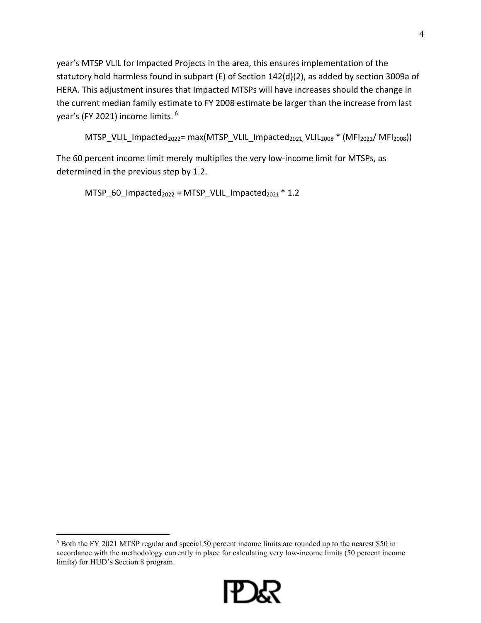year's MTSP VLIL for Impacted Projects in the area, this ensures implementation of the statutory hold harmless found in subpart (E) of Section 142(d)(2), as added by section 3009a of HERA. This adjustment insures that Impacted MTSPs will have increases should the change in the current median family estimate to FY 2008 estimate be larger than the increase from last year's (FY 2021) income limits. [6](#page-3-0)

```
MTSP_VLIL_Impacted<sub>2022</sub>= max(MTSP_VLIL_Impacted<sub>2021,</sub> VLIL<sub>2008</sub> * (MFI<sub>2022</sub>/ MFI<sub>2008</sub>))
```
The 60 percent income limit merely multiplies the very low-income limit for MTSPs, as determined in the previous step by 1.2.

```
MTSP_60_Impacted<sub>2022</sub> = MTSP_VLIL_Impacted<sub>2021</sub> * 1.2
```
<span id="page-3-0"></span><sup>6</sup> Both the FY 2021 MTSP regular and special 50 percent income limits are rounded up to the nearest \$50 in accordance with the methodology currently in place for calculating very low-income limits (50 percent income limits) for HUD's Section 8 program.

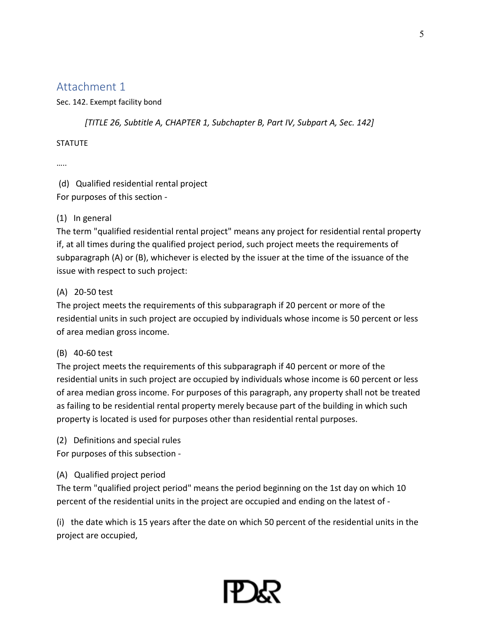Sec. 142. Exempt facility bond

*[TITLE 26, Subtitle A, CHAPTER 1, Subchapter B, Part IV, Subpart A, Sec. 142]* 

#### **STATUTE**

…..

 (d) Qualified residential rental project For purposes of this section -

#### (1) In general

The term "qualified residential rental project" means any project for residential rental property if, at all times during the qualified project period, such project meets the requirements of subparagraph (A) or (B), whichever is elected by the issuer at the time of the issuance of the issue with respect to such project:

#### (A) 20-50 test

The project meets the requirements of this subparagraph if 20 percent or more of the residential units in such project are occupied by individuals whose income is 50 percent or less of area median gross income.

#### (B) 40-60 test

The project meets the requirements of this subparagraph if 40 percent or more of the residential units in such project are occupied by individuals whose income is 60 percent or less of area median gross income. For purposes of this paragraph, any property shall not be treated as failing to be residential rental property merely because part of the building in which such property is located is used for purposes other than residential rental purposes.

(2) Definitions and special rules

For purposes of this subsection -

#### (A) Qualified project period

The term "qualified project period" means the period beginning on the 1st day on which 10 percent of the residential units in the project are occupied and ending on the latest of -

(i) the date which is 15 years after the date on which 50 percent of the residential units in the project are occupied,

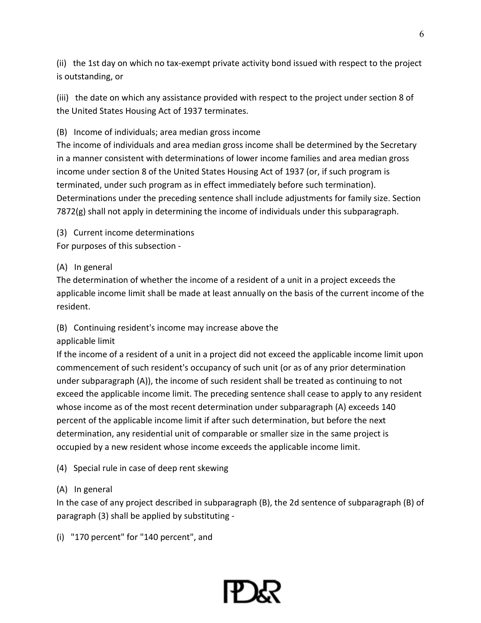(ii) the 1st day on which no tax-exempt private activity bond issued with respect to the project is outstanding, or

(iii) the date on which any assistance provided with respect to the project under section 8 of the United States Housing Act of 1937 terminates.

(B) Income of individuals; area median gross income

The income of individuals and area median gross income shall be determined by the Secretary in a manner consistent with determinations of lower income families and area median gross income under section 8 of the United States Housing Act of 1937 (or, if such program is terminated, under such program as in effect immediately before such termination). Determinations under the preceding sentence shall include adjustments for family size. Section 7872(g) shall not apply in determining the income of individuals under this subparagraph.

(3) Current income determinations

For purposes of this subsection -

#### (A) In general

The determination of whether the income of a resident of a unit in a project exceeds the applicable income limit shall be made at least annually on the basis of the current income of the resident.

#### (B) Continuing resident's income may increase above the

#### applicable limit

If the income of a resident of a unit in a project did not exceed the applicable income limit upon commencement of such resident's occupancy of such unit (or as of any prior determination under subparagraph (A)), the income of such resident shall be treated as continuing to not exceed the applicable income limit. The preceding sentence shall cease to apply to any resident whose income as of the most recent determination under subparagraph (A) exceeds 140 percent of the applicable income limit if after such determination, but before the next determination, any residential unit of comparable or smaller size in the same project is occupied by a new resident whose income exceeds the applicable income limit.

(4) Special rule in case of deep rent skewing

#### (A) In general

In the case of any project described in subparagraph (B), the 2d sentence of subparagraph (B) of paragraph (3) shall be applied by substituting -

(i) "170 percent" for "140 percent", and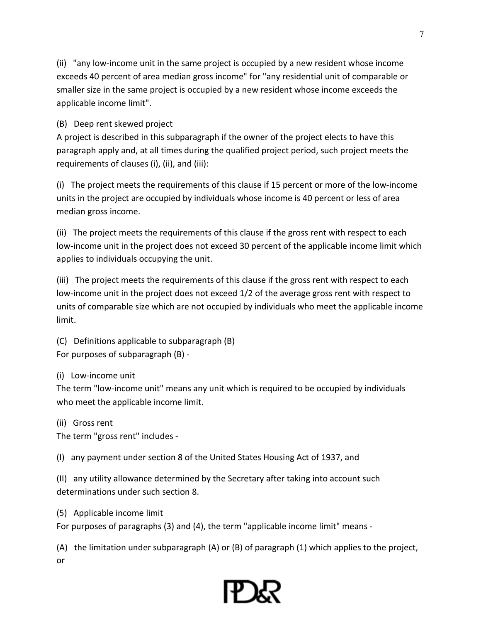(ii) "any low-income unit in the same project is occupied by a new resident whose income exceeds 40 percent of area median gross income" for "any residential unit of comparable or smaller size in the same project is occupied by a new resident whose income exceeds the applicable income limit".

(B) Deep rent skewed project

A project is described in this subparagraph if the owner of the project elects to have this paragraph apply and, at all times during the qualified project period, such project meets the requirements of clauses (i), (ii), and (iii):

(i) The project meets the requirements of this clause if 15 percent or more of the low-income units in the project are occupied by individuals whose income is 40 percent or less of area median gross income.

(ii) The project meets the requirements of this clause if the gross rent with respect to each low-income unit in the project does not exceed 30 percent of the applicable income limit which applies to individuals occupying the unit.

(iii) The project meets the requirements of this clause if the gross rent with respect to each low-income unit in the project does not exceed 1/2 of the average gross rent with respect to units of comparable size which are not occupied by individuals who meet the applicable income limit.

(C) Definitions applicable to subparagraph (B) For purposes of subparagraph (B) -

(i) Low-income unit

The term "low-income unit" means any unit which is required to be occupied by individuals who meet the applicable income limit.

(ii) Gross rent

The term "gross rent" includes -

(I) any payment under section 8 of the United States Housing Act of 1937, and

(II) any utility allowance determined by the Secretary after taking into account such determinations under such section 8.

(5) Applicable income limit

For purposes of paragraphs (3) and (4), the term "applicable income limit" means -

(A) the limitation under subparagraph (A) or (B) of paragraph (1) which applies to the project, or

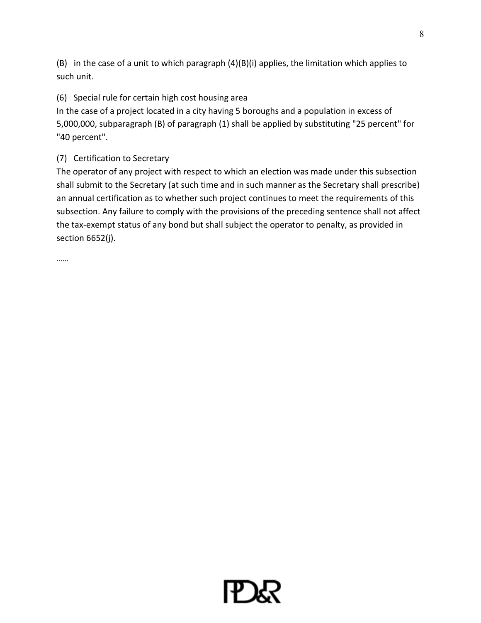(B) in the case of a unit to which paragraph (4)(B)(i) applies, the limitation which applies to such unit.

## (6) Special rule for certain high cost housing area

In the case of a project located in a city having 5 boroughs and a population in excess of 5,000,000, subparagraph (B) of paragraph (1) shall be applied by substituting "25 percent" for "40 percent".

### (7) Certification to Secretary

The operator of any project with respect to which an election was made under this subsection shall submit to the Secretary (at such time and in such manner as the Secretary shall prescribe) an annual certification as to whether such project continues to meet the requirements of this subsection. Any failure to comply with the provisions of the preceding sentence shall not affect the tax-exempt status of any bond but shall subject the operator to penalty, as provided in section 6652(j).

……

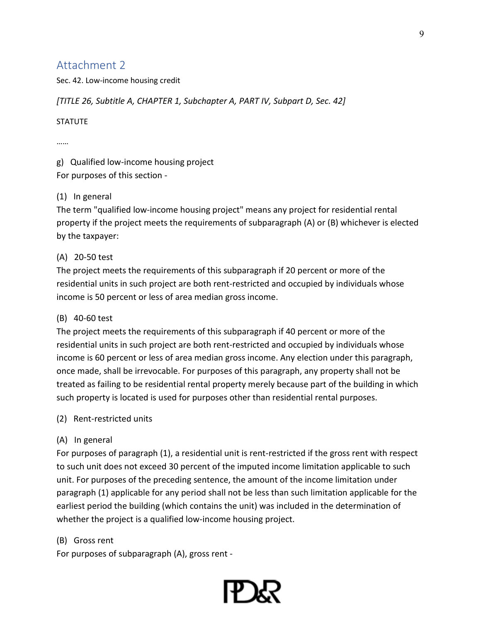Sec. 42. Low-income housing credit

#### *[TITLE 26, Subtitle A, CHAPTER 1, Subchapter A, PART IV, Subpart D, Sec. 42]*

#### **STATUTE**

………

g) Qualified low-income housing project For purposes of this section -

#### (1) In general

The term "qualified low-income housing project" means any project for residential rental property if the project meets the requirements of subparagraph (A) or (B) whichever is elected by the taxpayer:

#### (A) 20-50 test

The project meets the requirements of this subparagraph if 20 percent or more of the residential units in such project are both rent-restricted and occupied by individuals whose income is 50 percent or less of area median gross income.

#### (B) 40-60 test

The project meets the requirements of this subparagraph if 40 percent or more of the residential units in such project are both rent-restricted and occupied by individuals whose income is 60 percent or less of area median gross income. Any election under this paragraph, once made, shall be irrevocable. For purposes of this paragraph, any property shall not be treated as failing to be residential rental property merely because part of the building in which such property is located is used for purposes other than residential rental purposes.

#### (2) Rent-restricted units

#### (A) In general

For purposes of paragraph (1), a residential unit is rent-restricted if the gross rent with respect to such unit does not exceed 30 percent of the imputed income limitation applicable to such unit. For purposes of the preceding sentence, the amount of the income limitation under paragraph (1) applicable for any period shall not be less than such limitation applicable for the earliest period the building (which contains the unit) was included in the determination of whether the project is a qualified low-income housing project.

#### (B) Gross rent

For purposes of subparagraph (A), gross rent -

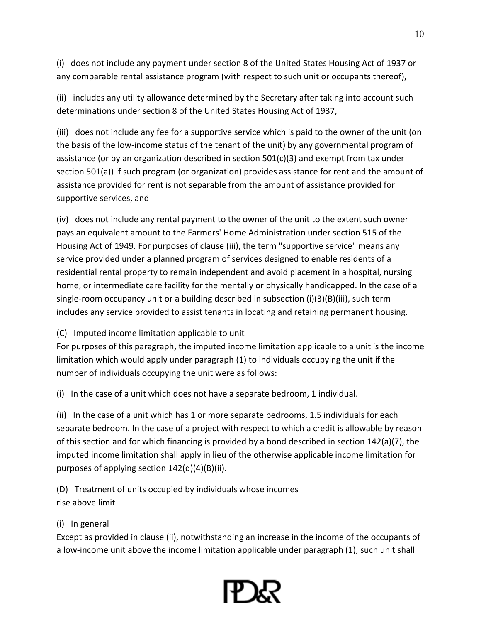(i) does not include any payment under section 8 of the United States Housing Act of 1937 or any comparable rental assistance program (with respect to such unit or occupants thereof),

(ii) includes any utility allowance determined by the Secretary after taking into account such determinations under section 8 of the United States Housing Act of 1937,

(iii) does not include any fee for a supportive service which is paid to the owner of the unit (on the basis of the low-income status of the tenant of the unit) by any governmental program of assistance (or by an organization described in section  $501(c)(3)$  and exempt from tax under section 501(a)) if such program (or organization) provides assistance for rent and the amount of assistance provided for rent is not separable from the amount of assistance provided for supportive services, and

(iv) does not include any rental payment to the owner of the unit to the extent such owner pays an equivalent amount to the Farmers' Home Administration under section 515 of the Housing Act of 1949. For purposes of clause (iii), the term "supportive service" means any service provided under a planned program of services designed to enable residents of a residential rental property to remain independent and avoid placement in a hospital, nursing home, or intermediate care facility for the mentally or physically handicapped. In the case of a single-room occupancy unit or a building described in subsection  $(i)(3)(B)(iii)$ , such term includes any service provided to assist tenants in locating and retaining permanent housing.

#### (C) Imputed income limitation applicable to unit

For purposes of this paragraph, the imputed income limitation applicable to a unit is the income limitation which would apply under paragraph (1) to individuals occupying the unit if the number of individuals occupying the unit were as follows:

(i) In the case of a unit which does not have a separate bedroom, 1 individual.

(ii) In the case of a unit which has 1 or more separate bedrooms, 1.5 individuals for each separate bedroom. In the case of a project with respect to which a credit is allowable by reason of this section and for which financing is provided by a bond described in section 142(a)(7), the imputed income limitation shall apply in lieu of the otherwise applicable income limitation for purposes of applying section 142(d)(4)(B)(ii).

(D) Treatment of units occupied by individuals whose incomes rise above limit

#### (i) In general

Except as provided in clause (ii), notwithstanding an increase in the income of the occupants of a low-income unit above the income limitation applicable under paragraph (1), such unit shall

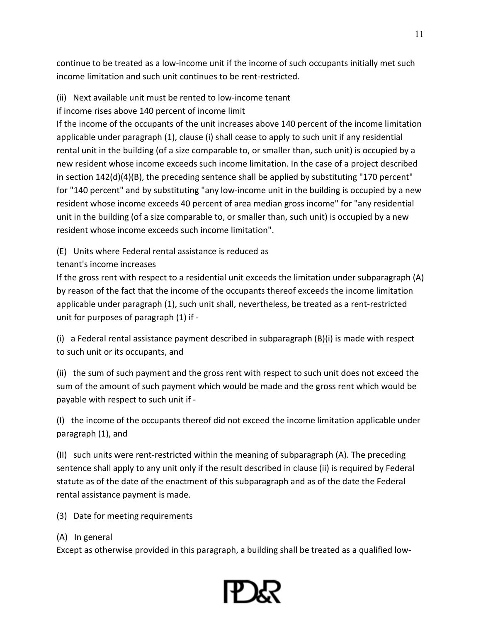continue to be treated as a low-income unit if the income of such occupants initially met such income limitation and such unit continues to be rent-restricted.

- (ii) Next available unit must be rented to low-income tenant
- if income rises above 140 percent of income limit

If the income of the occupants of the unit increases above 140 percent of the income limitation applicable under paragraph (1), clause (i) shall cease to apply to such unit if any residential rental unit in the building (of a size comparable to, or smaller than, such unit) is occupied by a new resident whose income exceeds such income limitation. In the case of a project described in section 142(d)(4)(B), the preceding sentence shall be applied by substituting "170 percent" for "140 percent" and by substituting "any low-income unit in the building is occupied by a new resident whose income exceeds 40 percent of area median gross income" for "any residential unit in the building (of a size comparable to, or smaller than, such unit) is occupied by a new resident whose income exceeds such income limitation".

(E) Units where Federal rental assistance is reduced as

tenant's income increases

If the gross rent with respect to a residential unit exceeds the limitation under subparagraph (A) by reason of the fact that the income of the occupants thereof exceeds the income limitation applicable under paragraph (1), such unit shall, nevertheless, be treated as a rent-restricted unit for purposes of paragraph (1) if -

(i) a Federal rental assistance payment described in subparagraph (B)(i) is made with respect to such unit or its occupants, and

(ii) the sum of such payment and the gross rent with respect to such unit does not exceed the sum of the amount of such payment which would be made and the gross rent which would be payable with respect to such unit if -

(I) the income of the occupants thereof did not exceed the income limitation applicable under paragraph (1), and

(II) such units were rent-restricted within the meaning of subparagraph (A). The preceding sentence shall apply to any unit only if the result described in clause (ii) is required by Federal statute as of the date of the enactment of this subparagraph and as of the date the Federal rental assistance payment is made.

- (3) Date for meeting requirements
- (A) In general

Except as otherwise provided in this paragraph, a building shall be treated as a qualified low-

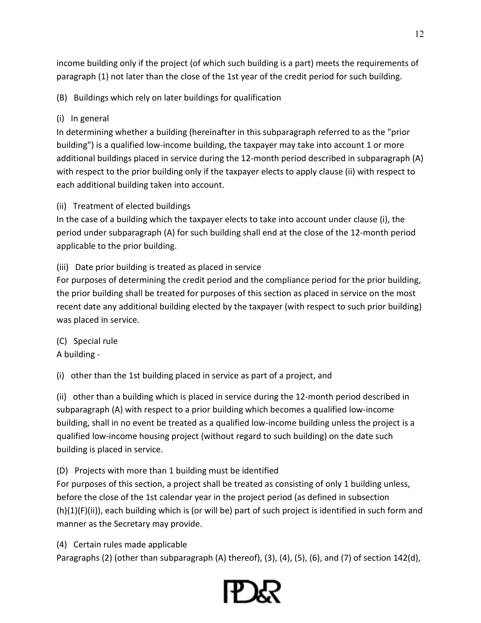income building only if the project (of which such building is a part) meets the requirements of paragraph (1) not later than the close of the 1st year of the credit period for such building.

(B) Buildings which rely on later buildings for qualification

# (i) In general

In determining whether a building (hereinafter in this subparagraph referred to as the "prior building") is a qualified low-income building, the taxpayer may take into account 1 or more additional buildings placed in service during the 12-month period described in subparagraph (A) with respect to the prior building only if the taxpayer elects to apply clause (ii) with respect to each additional building taken into account.

(ii) Treatment of elected buildings

In the case of a building which the taxpayer elects to take into account under clause (i), the period under subparagraph (A) for such building shall end at the close of the 12-month period applicable to the prior building.

(iii) Date prior building is treated as placed in service

For purposes of determining the credit period and the compliance period for the prior building, the prior building shall be treated for purposes of this section as placed in service on the most recent date any additional building elected by the taxpayer (with respect to such prior building) was placed in service.

(C) Special rule A building -

(i) other than the 1st building placed in service as part of a project, and

(ii) other than a building which is placed in service during the 12-month period described in subparagraph (A) with respect to a prior building which becomes a qualified low-income building, shall in no event be treated as a qualified low-income building unless the project is a qualified low-income housing project (without regard to such building) on the date such building is placed in service.

(D) Projects with more than 1 building must be identified

For purposes of this section, a project shall be treated as consisting of only 1 building unless, before the close of the 1st calendar year in the project period (as defined in subsection (h)(1)(F)(ii)), each building which is (or will be) part of such project is identified in such form and manner as the Secretary may provide.

(4) Certain rules made applicable

Paragraphs (2) (other than subparagraph (A) thereof), (3), (4), (5), (6), and (7) of section 142(d),



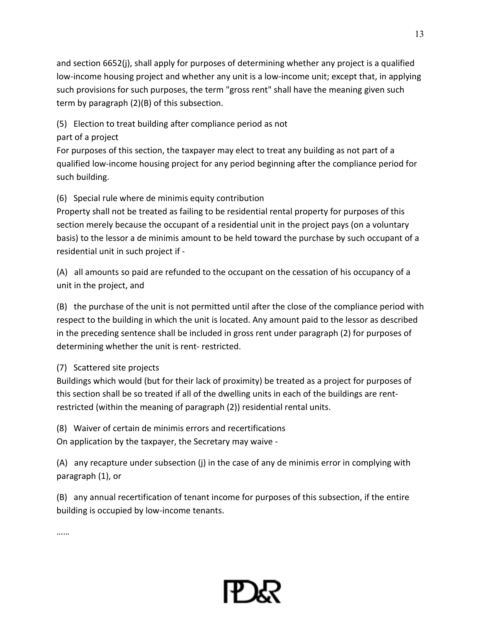and section 6652(j), shall apply for purposes of determining whether any project is a qualified low-income housing project and whether any unit is a low-income unit; except that, in applying such provisions for such purposes, the term "gross rent" shall have the meaning given such term by paragraph (2)(B) of this subsection.

(5) Election to treat building after compliance period as not

### part of a project

For purposes of this section, the taxpayer may elect to treat any building as not part of a qualified low-income housing project for any period beginning after the compliance period for such building.

# (6) Special rule where de minimis equity contribution

Property shall not be treated as failing to be residential rental property for purposes of this section merely because the occupant of a residential unit in the project pays (on a voluntary basis) to the lessor a de minimis amount to be held toward the purchase by such occupant of a residential unit in such project if -

(A) all amounts so paid are refunded to the occupant on the cessation of his occupancy of a unit in the project, and

(B) the purchase of the unit is not permitted until after the close of the compliance period with respect to the building in which the unit is located. Any amount paid to the lessor as described in the preceding sentence shall be included in gross rent under paragraph (2) for purposes of determining whether the unit is rent- restricted.

# (7) Scattered site projects

Buildings which would (but for their lack of proximity) be treated as a project for purposes of this section shall be so treated if all of the dwelling units in each of the buildings are rentrestricted (within the meaning of paragraph (2)) residential rental units.

(8) Waiver of certain de minimis errors and recertifications On application by the taxpayer, the Secretary may waive -

(A) any recapture under subsection (j) in the case of any de minimis error in complying with paragraph (1), or

(B) any annual recertification of tenant income for purposes of this subsection, if the entire building is occupied by low-income tenants.

……

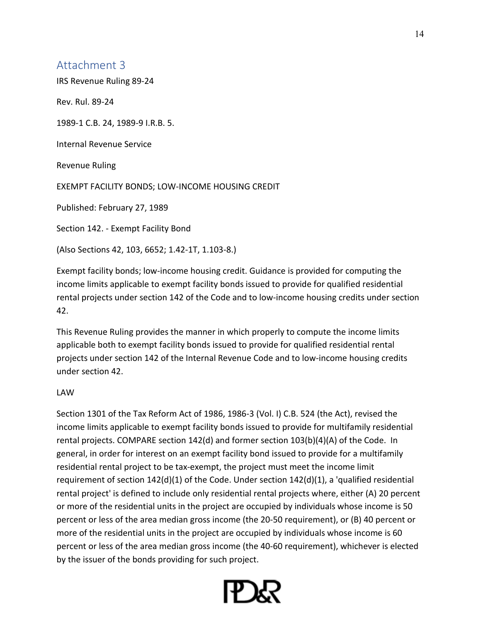IRS Revenue Ruling 89-24

Rev. Rul. 89-24

1989-1 C.B. 24, 1989-9 I.R.B. 5.

Internal Revenue Service

Revenue Ruling

EXEMPT FACILITY BONDS; LOW-INCOME HOUSING CREDIT

Published: February 27, 1989

Section 142. - Exempt Facility Bond

(Also Sections 42, 103, 6652; 1.42-1T, 1.103-8.)

Exempt facility bonds; low-income housing credit. Guidance is provided for computing the income limits applicable to exempt facility bonds issued to provide for qualified residential rental projects under section 142 of the Code and to low-income housing credits under section 42.

This Revenue Ruling provides the manner in which properly to compute the income limits applicable both to exempt facility bonds issued to provide for qualified residential rental projects under section 142 of the Internal Revenue Code and to low-income housing credits under section 42.

#### LAW

Section 1301 of the Tax Reform Act of 1986, 1986-3 (Vol. I) C.B. 524 (the Act), revised the income limits applicable to exempt facility bonds issued to provide for multifamily residential rental projects. COMPARE section 142(d) and former section 103(b)(4)(A) of the Code. In general, in order for interest on an exempt facility bond issued to provide for a multifamily residential rental project to be tax-exempt, the project must meet the income limit requirement of section 142(d)(1) of the Code. Under section 142(d)(1), a 'qualified residential rental project' is defined to include only residential rental projects where, either (A) 20 percent or more of the residential units in the project are occupied by individuals whose income is 50 percent or less of the area median gross income (the 20-50 requirement), or (B) 40 percent or more of the residential units in the project are occupied by individuals whose income is 60 percent or less of the area median gross income (the 40-60 requirement), whichever is elected by the issuer of the bonds providing for such project.

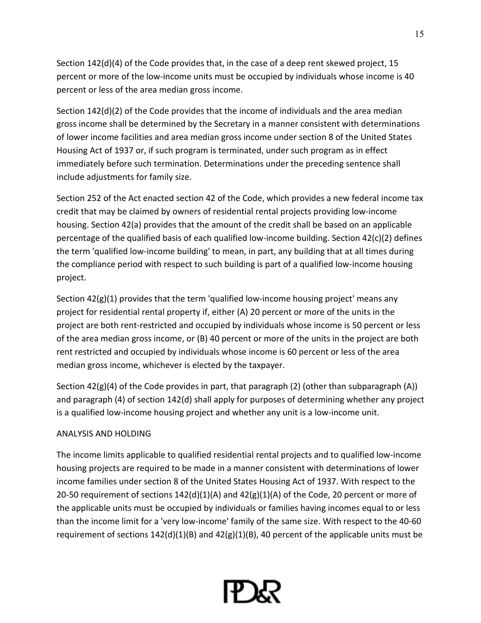Section 142(d)(4) of the Code provides that, in the case of a deep rent skewed project, 15 percent or more of the low-income units must be occupied by individuals whose income is 40 percent or less of the area median gross income.

Section 142(d)(2) of the Code provides that the income of individuals and the area median gross income shall be determined by the Secretary in a manner consistent with determinations of lower income facilities and area median gross income under section 8 of the United States Housing Act of 1937 or, if such program is terminated, under such program as in effect immediately before such termination. Determinations under the preceding sentence shall include adjustments for family size.

Section 252 of the Act enacted section 42 of the Code, which provides a new federal income tax credit that may be claimed by owners of residential rental projects providing low-income housing. Section 42(a) provides that the amount of the credit shall be based on an applicable percentage of the qualified basis of each qualified low-income building. Section 42(c)(2) defines the term 'qualified low-income building' to mean, in part, any building that at all times during the compliance period with respect to such building is part of a qualified low-income housing project.

Section  $42(g)(1)$  provides that the term 'qualified low-income housing project' means any project for residential rental property if, either (A) 20 percent or more of the units in the project are both rent-restricted and occupied by individuals whose income is 50 percent or less of the area median gross income, or (B) 40 percent or more of the units in the project are both rent restricted and occupied by individuals whose income is 60 percent or less of the area median gross income, whichever is elected by the taxpayer.

Section 42(g)(4) of the Code provides in part, that paragraph (2) (other than subparagraph (A)) and paragraph (4) of section 142(d) shall apply for purposes of determining whether any project is a qualified low-income housing project and whether any unit is a low-income unit.

#### ANALYSIS AND HOLDING

The income limits applicable to qualified residential rental projects and to qualified low-income housing projects are required to be made in a manner consistent with determinations of lower income families under section 8 of the United States Housing Act of 1937. With respect to the 20-50 requirement of sections  $142(d)(1)(A)$  and  $42(g)(1)(A)$  of the Code, 20 percent or more of the applicable units must be occupied by individuals or families having incomes equal to or less than the income limit for a 'very low-income' family of the same size. With respect to the 40-60 requirement of sections 142(d)(1)(B) and 42(g)(1)(B), 40 percent of the applicable units must be

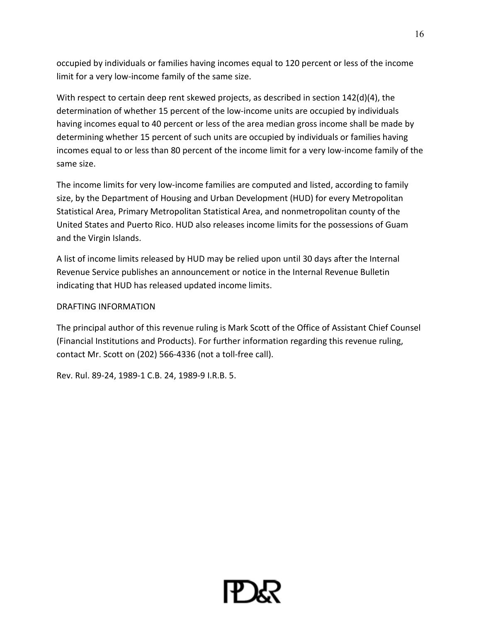occupied by individuals or families having incomes equal to 120 percent or less of the income limit for a very low-income family of the same size.

With respect to certain deep rent skewed projects, as described in section 142(d)(4), the determination of whether 15 percent of the low-income units are occupied by individuals having incomes equal to 40 percent or less of the area median gross income shall be made by determining whether 15 percent of such units are occupied by individuals or families having incomes equal to or less than 80 percent of the income limit for a very low-income family of the same size.

The income limits for very low-income families are computed and listed, according to family size, by the Department of Housing and Urban Development (HUD) for every Metropolitan Statistical Area, Primary Metropolitan Statistical Area, and nonmetropolitan county of the United States and Puerto Rico. HUD also releases income limits for the possessions of Guam and the Virgin Islands.

A list of income limits released by HUD may be relied upon until 30 days after the Internal Revenue Service publishes an announcement or notice in the Internal Revenue Bulletin indicating that HUD has released updated income limits.

#### DRAFTING INFORMATION

The principal author of this revenue ruling is Mark Scott of the Office of Assistant Chief Counsel (Financial Institutions and Products). For further information regarding this revenue ruling, contact Mr. Scott on (202) 566-4336 (not a toll-free call).

Rev. Rul. 89-24, 1989-1 C.B. 24, 1989-9 I.R.B. 5.